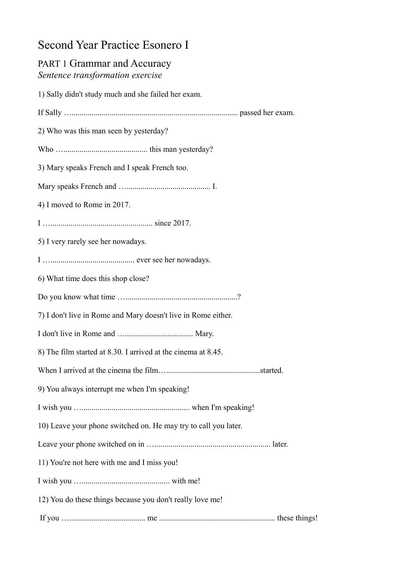## Second Year Practice Esonero I

| <b>PART 1 Grammar and Accuracy</b><br>Sentence transformation exercise |
|------------------------------------------------------------------------|
| 1) Sally didn't study much and she failed her exam.                    |
|                                                                        |
| 2) Who was this man seen by yesterday?                                 |
|                                                                        |
| 3) Mary speaks French and I speak French too.                          |
|                                                                        |
| 4) I moved to Rome in 2017.                                            |
|                                                                        |
| 5) I very rarely see her nowadays.                                     |
|                                                                        |
| 6) What time does this shop close?                                     |
|                                                                        |
| 7) I don't live in Rome and Mary doesn't live in Rome either.          |
|                                                                        |
| 8) The film started at 8.30. I arrived at the cinema at 8.45.          |
|                                                                        |
| 9) You always interrupt me when I'm speaking!                          |
|                                                                        |
| 10) Leave your phone switched on. He may try to call you later.        |
|                                                                        |
| 11) You're not here with me and I miss you!                            |
|                                                                        |
| 12) You do these things because you don't really love me!              |
|                                                                        |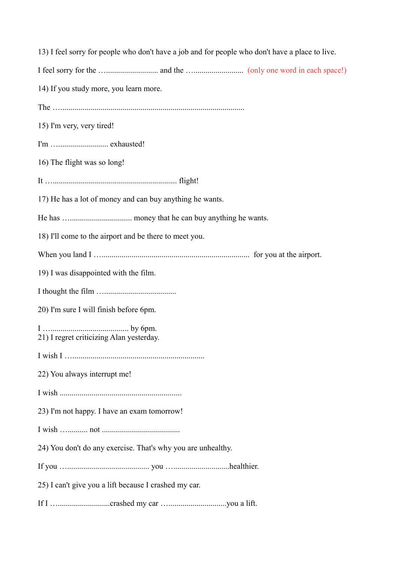|                                                              | 13) I feel sorry for people who don't have a job and for people who don't have a place to live. |
|--------------------------------------------------------------|-------------------------------------------------------------------------------------------------|
|                                                              |                                                                                                 |
| 14) If you study more, you learn more.                       |                                                                                                 |
|                                                              |                                                                                                 |
| 15) I'm very, very tired!                                    |                                                                                                 |
|                                                              |                                                                                                 |
| 16) The flight was so long!                                  |                                                                                                 |
|                                                              |                                                                                                 |
| 17) He has a lot of money and can buy anything he wants.     |                                                                                                 |
|                                                              |                                                                                                 |
| 18) I'll come to the airport and be there to meet you.       |                                                                                                 |
|                                                              |                                                                                                 |
| 19) I was disappointed with the film.                        |                                                                                                 |
|                                                              |                                                                                                 |
| 20) I'm sure I will finish before 6pm.                       |                                                                                                 |
| 21) I regret criticizing Alan yesterday.                     |                                                                                                 |
|                                                              |                                                                                                 |
| 22) You always interrupt me!                                 |                                                                                                 |
|                                                              |                                                                                                 |
| 23) I'm not happy. I have an exam tomorrow!                  |                                                                                                 |
|                                                              |                                                                                                 |
| 24) You don't do any exercise. That's why you are unhealthy. |                                                                                                 |
|                                                              |                                                                                                 |
| 25) I can't give you a lift because I crashed my car.        |                                                                                                 |
|                                                              |                                                                                                 |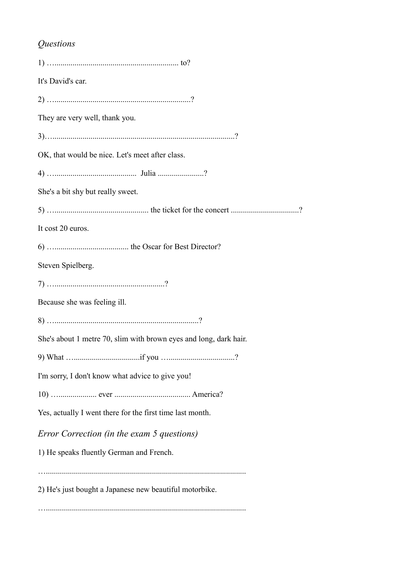## *Questions*

| It's David's car.                                                 |
|-------------------------------------------------------------------|
|                                                                   |
| They are very well, thank you.                                    |
|                                                                   |
| OK, that would be nice. Let's meet after class.                   |
|                                                                   |
| She's a bit shy but really sweet.                                 |
|                                                                   |
| It cost 20 euros.                                                 |
|                                                                   |
| Steven Spielberg.                                                 |
|                                                                   |
| Because she was feeling ill.                                      |
|                                                                   |
| She's about 1 metre 70, slim with brown eyes and long, dark hair. |
|                                                                   |
| I'm sorry, I don't know what advice to give you!                  |
|                                                                   |
| Yes, actually I went there for the first time last month.         |
| Error Correction (in the exam 5 questions)                        |
| 1) He speaks fluently German and French.                          |
|                                                                   |
| 2) He's just bought a Japanese new beautiful motorbike.           |
|                                                                   |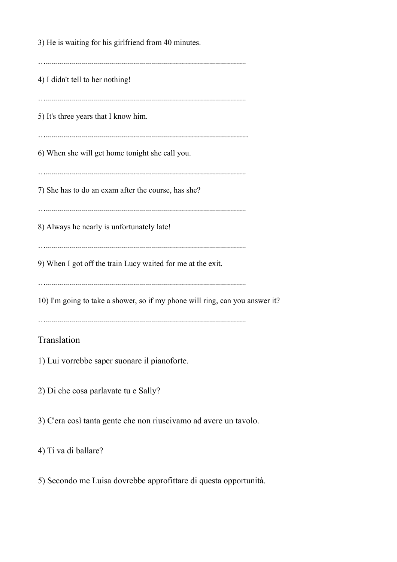3) He is waiting for his girlfriend from 40 minutes. ….................................................................................................... 4) I didn't tell to her nothing! ….................................................................................................... 5) It's three years that I know him. …..................................................................................................... 6) When she will get home tonight she call you. ….................................................................................................... 7) She has to do an exam after the course, has she? ….................................................................................................... 8) Always he nearly is unfortunately late! ….................................................................................................... 9) When I got off the train Lucy waited for me at the exit. ….................................................................................................... 10) I'm going to take a shower, so if my phone will ring, can you answer it? ….................................................................................................... Translation

1) Lui vorrebbe saper suonare il pianoforte.

2) Di che cosa parlavate tu e Sally?

3) C'era così tanta gente che non riuscivamo ad avere un tavolo.

4) Ti va di ballare?

5) Secondo me Luisa dovrebbe approfittare di questa opportunità.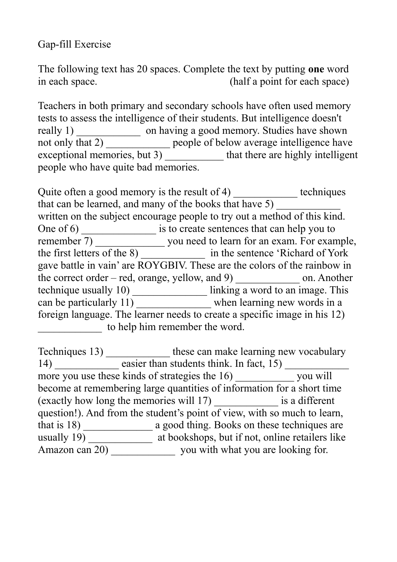## Gap-fill Exercise

The following text has 20 spaces. Complete the text by putting **one** word in each space. (half a point for each space)

Teachers in both primary and secondary schools have often used memory tests to assess the intelligence of their students. But intelligence doesn't really 1) \_\_\_\_\_\_\_\_\_\_\_\_\_\_\_\_\_\_ on having a good memory. Studies have shown not only that 2) \_\_\_\_\_\_\_\_\_\_\_\_\_\_ people of below average intelligence have exceptional memories, but 3) \_\_\_\_\_\_\_\_\_\_\_\_\_ that there are highly intelligent people who have quite bad memories.

Quite often a good memory is the result of 4) \_\_\_\_\_\_\_\_\_\_\_\_\_ techniques that can be learned, and many of the books that have 5) written on the subject encourage people to try out a method of this kind. One of 6) \_\_\_\_\_\_\_\_\_\_\_\_\_\_\_\_\_\_ is to create sentences that can help you to remember 7) \_\_\_\_\_\_\_\_\_\_\_\_\_\_\_\_ you need to learn for an exam. For example, the first letters of the 8) \_\_\_\_\_\_\_\_\_\_\_\_ in the sentence 'Richard of York gave battle in vain' are ROYGBIV. These are the colors of the rainbow in the correct order – red, orange, yellow, and 9) \_\_\_\_\_\_\_\_\_\_\_\_ on. Another technique usually 10) linking a word to an image. This can be particularly 11) when learning new words in a foreign language. The learner needs to create a specific image in his 12) to help him remember the word.

Techniques 13) \_\_\_\_\_\_\_\_\_\_\_\_\_\_\_\_ these can make learning new vocabulary 14) \_\_\_\_\_\_\_\_\_\_\_\_ easier than students think. In fact, 15) \_\_\_\_\_\_\_\_\_\_\_\_ more you use these kinds of strategies the 16) vou will become at remembering large quantities of information for a short time (exactly how long the memories will 17) \_\_\_\_\_\_\_\_\_\_\_\_ is a different question!). And from the student's point of view, with so much to learn, that is 18) \_\_\_\_\_\_\_\_\_\_\_\_\_ a good thing. Books on these techniques are usually 19) \_\_\_\_\_\_\_\_\_\_\_\_\_\_\_ at bookshops, but if not, online retailers like Amazon can 20) \_\_\_\_\_\_\_\_\_\_\_\_\_\_\_\_\_ you with what you are looking for.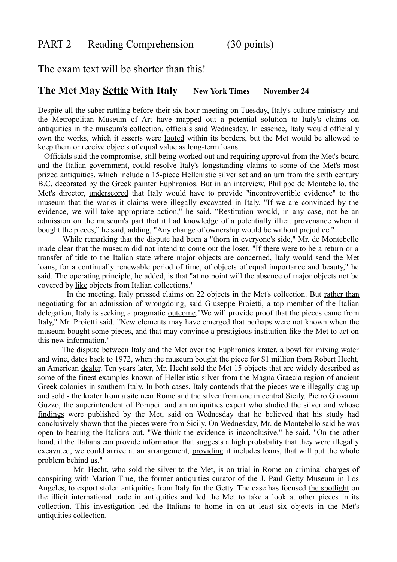The exam text will be shorter than this!

## **The Met May Settle With Italy** New York Times November 24

Despite all the saber-rattling before their six-hour meeting on Tuesday, Italy's culture ministry and the Metropolitan Museum of Art have mapped out a potential solution to Italy's claims on antiquities in the museum's collection, officials said Wednesday. In essence, Italy would officially own the works, which it asserts were looted within its borders, but the Met would be allowed to keep them or receive objects of equal value as long-term loans.

Officials said the compromise, still being worked out and requiring approval from the Met's board and the Italian government, could resolve Italy's longstanding claims to some of the Met's most prized antiquities, which include a 15-piece Hellenistic silver set and an urn from the sixth century B.C. decorated by the Greek painter Euphronios. But in an interview, Philippe de Montebello, the Met's director, underscored that Italy would have to provide "incontrovertible evidence" to the museum that the works it claims were illegally excavated in Italy. "If we are convinced by the evidence, we will take appropriate action," he said. "Restitution would, in any case, not be an admission on the museum's part that it had knowledge of a potentially illicit provenance when it bought the pieces," he said, adding, "Any change of ownership would be without prejudice."

While remarking that the dispute had been a "thorn in everyone's side," Mr. de Montebello made clear that the museum did not intend to come out the loser. "If there were to be a return or a transfer of title to the Italian state where major objects are concerned, Italy would send the Met loans, for a continually renewable period of time, of objects of equal importance and beauty," he said. The operating principle, he added, is that "at no point will the absence of major objects not be covered by like objects from Italian collections."

In the meeting, Italy pressed claims on 22 objects in the Met's collection. But rather than negotiating for an admission of wrongdoing, said Giuseppe Proietti, a top member of the Italian delegation, Italy is seeking a pragmatic outcome."We will provide proof that the pieces came from Italy," Mr. Proietti said. "New elements may have emerged that perhaps were not known when the museum bought some pieces, and that may convince a prestigious institution like the Met to act on this new information."

The dispute between Italy and the Met over the Euphronios krater, a bowl for mixing water and wine, dates back to 1972, when the museum bought the piece for \$1 million from Robert Hecht, an American dealer. Ten years later, Mr. Hecht sold the Met 15 objects that are widely described as some of the finest examples known of Hellenistic silver from the Magna Graecia region of ancient Greek colonies in southern Italy. In both cases, Italy contends that the pieces were illegally dug up and sold - the krater from a site near Rome and the silver from one in central Sicily. Pietro Giovanni Guzzo, the superintendent of Pompeii and an antiquities expert who studied the silver and whose findings were published by the Met, said on Wednesday that he believed that his study had conclusively shown that the pieces were from Sicily. On Wednesday, Mr. de Montebello said he was open to hearing the Italians out. "We think the evidence is inconclusive," he said. "On the other hand, if the Italians can provide information that suggests a high probability that they were illegally excavated, we could arrive at an arrangement, providing it includes loans, that will put the whole problem behind us."

Mr. Hecht, who sold the silver to the Met, is on trial in Rome on criminal charges of conspiring with Marion True, the former antiquities curator of the J. Paul Getty Museum in Los Angeles, to export stolen antiquities from Italy for the Getty. The case has focused the spotlight on the illicit international trade in antiquities and led the Met to take a look at other pieces in its collection. This investigation led the Italians to home in on at least six objects in the Met's antiquities collection.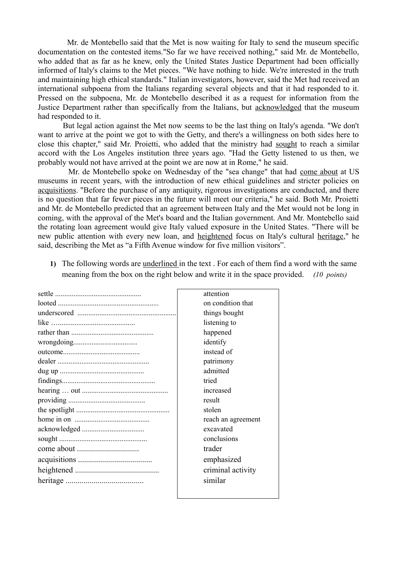Mr. de Montebello said that the Met is now waiting for Italy to send the museum specific documentation on the contested items."So far we have received nothing," said Mr. de Montebello, who added that as far as he knew, only the United States Justice Department had been officially informed of Italy's claims to the Met pieces. "We have nothing to hide. We're interested in the truth and maintaining high ethical standards." Italian investigators, however, said the Met had received an international subpoena from the Italians regarding several objects and that it had responded to it. Pressed on the subpoena, Mr. de Montebello described it as a request for information from the Justice Department rather than specifically from the Italians, but acknowledged that the museum had responded to it.

But legal action against the Met now seems to be the last thing on Italy's agenda. "We don't want to arrive at the point we got to with the Getty, and there's a willingness on both sides here to close this chapter," said Mr. Proietti, who added that the ministry had sought to reach a similar accord with the Los Angeles institution three years ago. "Had the Getty listened to us then, we probably would not have arrived at the point we are now at in Rome," he said.

Mr. de Montebello spoke on Wednesday of the "sea change" that had come about at US museums in recent years, with the introduction of new ethical guidelines and stricter policies on acquisitions. "Before the purchase of any antiquity, rigorous investigations are conducted, and there is no question that far fewer pieces in the future will meet our criteria," he said. Both Mr. Proietti and Mr. de Montebello predicted that an agreement between Italy and the Met would not be long in coming, with the approval of the Met's board and the Italian government. And Mr. Montebello said the rotating loan agreement would give Italy valued exposure in the United States. "There will be new public attention with every new loan, and heightened focus on Italy's cultural heritage," he said, describing the Met as "a Fifth Avenue window for five million visitors".

**1)** The following words are underlined in the text . For each of them find a word with the same meaning from the box on the right below and write it in the space provided. *(10 points)*

| attention          |
|--------------------|
| on condition that  |
| things bought      |
| listening to       |
| happened           |
| identify           |
| instead of         |
| patrimony          |
| admitted           |
| tried              |
| increased          |
| result             |
| stolen             |
| reach an agreement |
| excavated          |
| conclusions        |
| trader             |
| emphasized         |
| criminal activity  |
| similar            |
|                    |